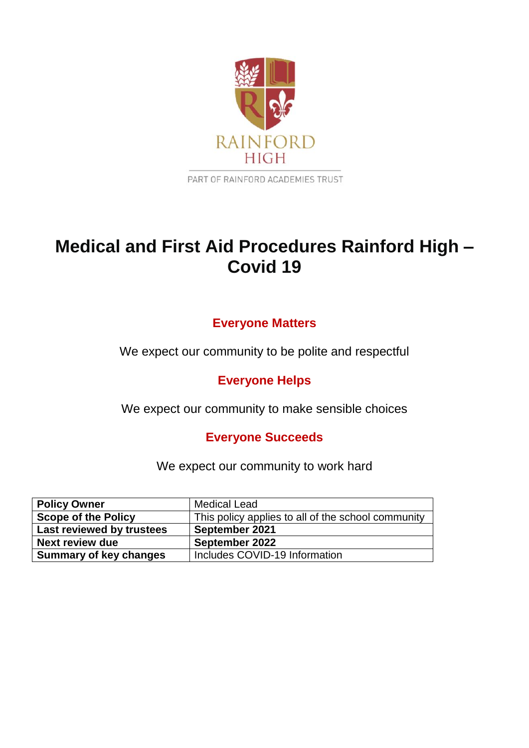

PART OF RAINFORD ACADEMIES TRUST

# **Medical and First Aid Procedures Rainford High – Covid 19**

## **Everyone Matters**

We expect our community to be polite and respectful

**Everyone Helps**

We expect our community to make sensible choices

**Everyone Succeeds**

We expect our community to work hard

| <b>Policy Owner</b>           | <b>Medical Lead</b>                                |
|-------------------------------|----------------------------------------------------|
| <b>Scope of the Policy</b>    | This policy applies to all of the school community |
| Last reviewed by trustees     | September 2021                                     |
| <b>Next review due</b>        | September 2022                                     |
| <b>Summary of key changes</b> | Includes COVID-19 Information                      |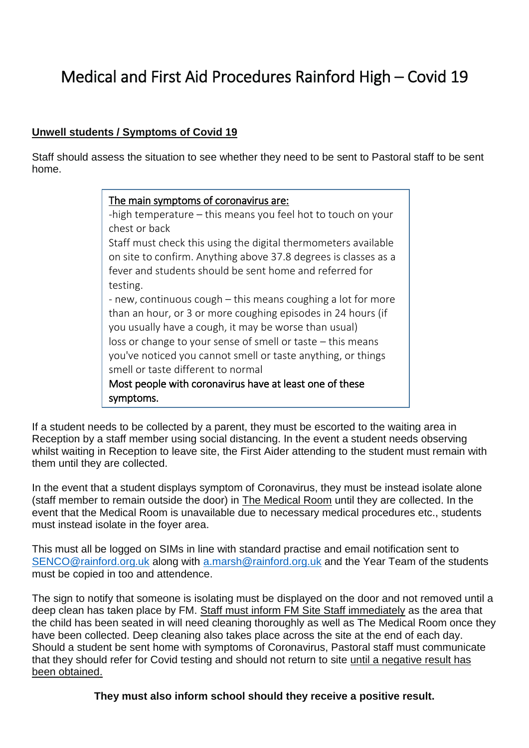# Medical and First Aid Procedures Rainford High – Covid 19

### **Unwell students / Symptoms of Covid 19**

Staff should assess the situation to see whether they need to be sent to Pastoral staff to be sent home.

### The main symptoms of coronavirus are:

-high temperature – this means you feel hot to touch on your chest or back

Staff must check this using the digital thermometers available on site to confirm. Anything above 37.8 degrees is classes as a fever and students should be sent home and referred for testing.

- new, continuous cough – this means coughing a lot for more than an hour, or 3 or more coughing episodes in 24 hours (if you usually have a cough, it may be worse than usual) loss or change to your sense of smell or taste – this means you've noticed you cannot smell or taste anything, or things smell or taste different to normal

Most people with coronavirus have at least one of these symptoms.

If a student needs to be collected by a parent, they must be escorted to the waiting area in Reception by a staff member using social distancing. In the event a student needs observing whilst waiting in Reception to leave site, the First Aider attending to the student must remain with them until they are collected.

In the event that a student displays symptom of Coronavirus, they must be instead isolate alone (staff member to remain outside the door) in The Medical Room until they are collected. In the event that the Medical Room is unavailable due to necessary medical procedures etc., students must instead isolate in the foyer area.

This must all be logged on SIMs in line with standard practise and email notification sent to [SENCO@rainford.org.uk](mailto:SENCO@rainford.org.uk) along with [a.marsh@rainford.org.uk](mailto:a.marsh@rainford.org.uk) and the Year Team of the students must be copied in too and attendence.

The sign to notify that someone is isolating must be displayed on the door and not removed until a deep clean has taken place by FM. Staff must inform FM Site Staff immediately as the area that the child has been seated in will need cleaning thoroughly as well as The Medical Room once they have been collected. Deep cleaning also takes place across the site at the end of each day. Should a student be sent home with symptoms of Coronavirus, Pastoral staff must communicate that they should refer for Covid testing and should not return to site until a negative result has been obtained.

**They must also inform school should they receive a positive result.**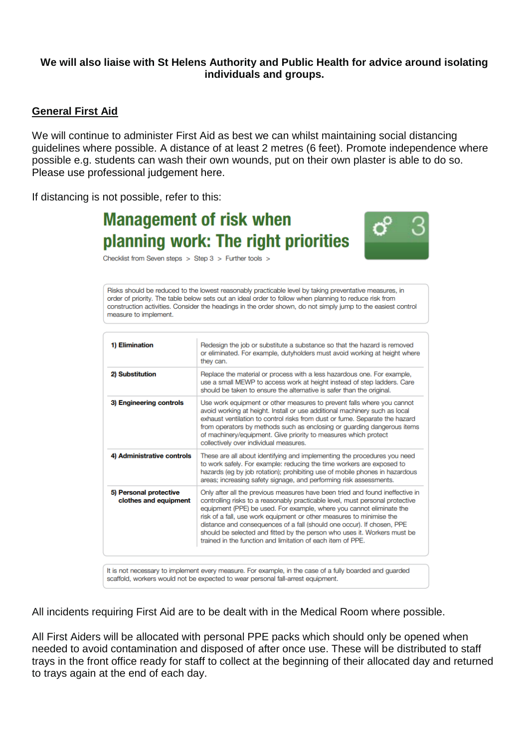#### **We will also liaise with St Helens Authority and Public Health for advice around isolating individuals and groups.**

#### **General First Aid**

We will continue to administer First Aid as best we can whilst maintaining social distancing guidelines where possible. A distance of at least 2 metres (6 feet). Promote independence where possible e.g. students can wash their own wounds, put on their own plaster is able to do so. Please use professional judgement here.

If distancing is not possible, refer to this:

# **Management of risk when** planning work: The right priorities



Checklist from Seven steps  $>$  Step 3  $>$  Further tools  $>$ 

Risks should be reduced to the lowest reasonably practicable level by taking preventative measures, in order of priority. The table below sets out an ideal order to follow when planning to reduce risk from construction activities. Consider the headings in the order shown, do not simply jump to the easiest control measure to implement.

| 1) Elimination                                  | Redesign the job or substitute a substance so that the hazard is removed<br>or eliminated. For example, dutyholders must avoid working at height where<br>they can.                                                                                                                                                                                                                                                                                                                                                                 |
|-------------------------------------------------|-------------------------------------------------------------------------------------------------------------------------------------------------------------------------------------------------------------------------------------------------------------------------------------------------------------------------------------------------------------------------------------------------------------------------------------------------------------------------------------------------------------------------------------|
| 2) Substitution                                 | Replace the material or process with a less hazardous one. For example,<br>use a small MEWP to access work at height instead of step ladders. Care<br>should be taken to ensure the alternative is safer than the original.                                                                                                                                                                                                                                                                                                         |
| 3) Engineering controls                         | Use work equipment or other measures to prevent falls where you cannot<br>avoid working at height. Install or use additional machinery such as local<br>exhaust ventilation to control risks from dust or fume. Separate the hazard<br>from operators by methods such as enclosing or guarding dangerous items<br>of machinery/equipment. Give priority to measures which protect<br>collectively over individual measures.                                                                                                         |
| 4) Administrative controls                      | These are all about identifying and implementing the procedures you need<br>to work safely. For example: reducing the time workers are exposed to<br>hazards (eq by job rotation); prohibiting use of mobile phones in hazardous<br>areas; increasing safety signage, and performing risk assessments.                                                                                                                                                                                                                              |
| 5) Personal protective<br>clothes and equipment | Only after all the previous measures have been tried and found ineffective in<br>controlling risks to a reasonably practicable level, must personal protective<br>equipment (PPE) be used. For example, where you cannot eliminate the<br>risk of a fall, use work equipment or other measures to minimise the<br>distance and consequences of a fall (should one occur). If chosen, PPE<br>should be selected and fitted by the person who uses it. Workers must be<br>trained in the function and limitation of each item of PPE. |

It is not necessary to implement every measure. For example, in the case of a fully boarded and guarded scaffold, workers would not be expected to wear personal fall-arrest equipment.

All incidents requiring First Aid are to be dealt with in the Medical Room where possible.

All First Aiders will be allocated with personal PPE packs which should only be opened when needed to avoid contamination and disposed of after once use. These will be distributed to staff trays in the front office ready for staff to collect at the beginning of their allocated day and returned to trays again at the end of each day.